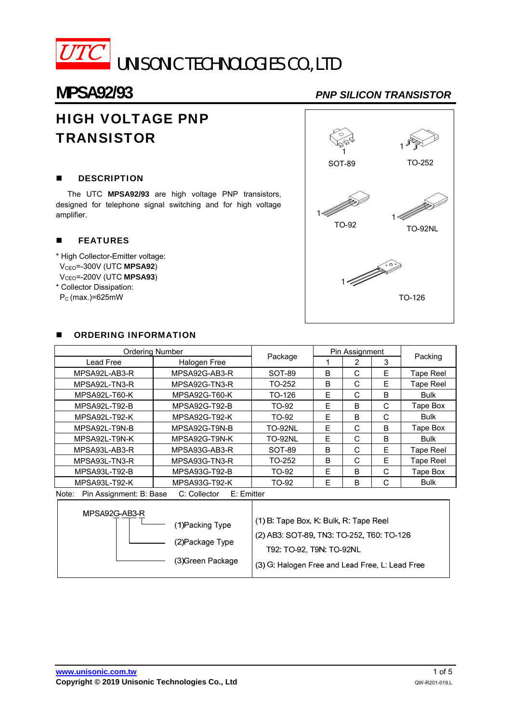

# **MPSA92/93** *PNP SILICON TRANSISTOR*

# HIGH VOLTAGE PNP **TRANSISTOR**

#### **DESCRIPTION**

The UTC **MPSA92/93** are high voltage PNP transistors, designed for telephone signal switching and for high voltage amplifier.

#### **FEATURES**

\* High Collector-Emitter voltage: VCEO=-300V (UTC **MPSA92**) VCEO=-200V (UTC **MPSA93**) \* Collector Dissipation:

PC (max.)=625mW



#### **DECISION INFORMATION**

| <b>Ordering Number</b>            |                                                       |                                                                                     | Pin Assignment |                |   |             |  |
|-----------------------------------|-------------------------------------------------------|-------------------------------------------------------------------------------------|----------------|----------------|---|-------------|--|
| Lead Free                         | Halogen Free                                          | Package                                                                             |                | $\overline{2}$ | 3 | Packing     |  |
| MPSA92L-AB3-R                     | MPSA92G-AB3-R                                         | SOT-89                                                                              | B              | C              | E | Tape Reel   |  |
| MPSA92L-TN3-R                     | MPSA92G-TN3-R                                         | TO-252                                                                              | B              | С              | E | Tape Reel   |  |
| MPSA92L-T60-K                     | MPSA92G-T60-K                                         | TO-126                                                                              | Е              | C              | B | <b>Bulk</b> |  |
| MPSA92L-T92-B                     | <b>MPSA92G-T92-B</b>                                  | TO-92                                                                               | E              | B              | C | Tape Box    |  |
| MPSA92L-T92-K                     | MPSA92G-T92-K                                         | TO-92                                                                               | E              | B              | C | <b>Bulk</b> |  |
| MPSA92L-T9N-B                     | MPSA92G-T9N-B                                         | <b>TO-92NL</b>                                                                      | E              | C              | B | Tape Box    |  |
| MPSA92L-T9N-K                     | MPSA92G-T9N-K                                         | <b>TO-92NL</b>                                                                      | E              | C              | B | <b>Bulk</b> |  |
| MPSA93L-AB3-R                     | MPSA93G-AB3-R                                         | SOT-89                                                                              | B              | C              | E | Tape Reel   |  |
| MPSA93L-TN3-R                     | MPSA93G-TN3-R                                         | TO-252                                                                              | B              | C              | E | Tape Reel   |  |
| MPSA93L-T92-B                     | <b>MPSA93G-T92-B</b>                                  | TO-92                                                                               | F              | B              | C | Tape Box    |  |
| MPSA93L-T92-K                     | MPSA93G-T92-K                                         | TO-92                                                                               | E              | B              | С | <b>Bulk</b> |  |
| Note:                             | Pin Assignment: B: Base<br>E: Emitter<br>C: Collector |                                                                                     |                |                |   |             |  |
| MPSA92G-AB3-R<br>(1) Packing Type |                                                       | (1) B: Tape Box, K: Bulk, R: Tape Reel<br>(2) AB3: SOT-89, TN3: TO-252, T60: TO-126 |                |                |   |             |  |
| (0)                               |                                                       |                                                                                     |                |                |   |             |  |

(2) Package Type

T92: TO-92, T9N: TO-92NL

(3) Green Package (3) G: Halogen Free and Lead Free, L: Lead Free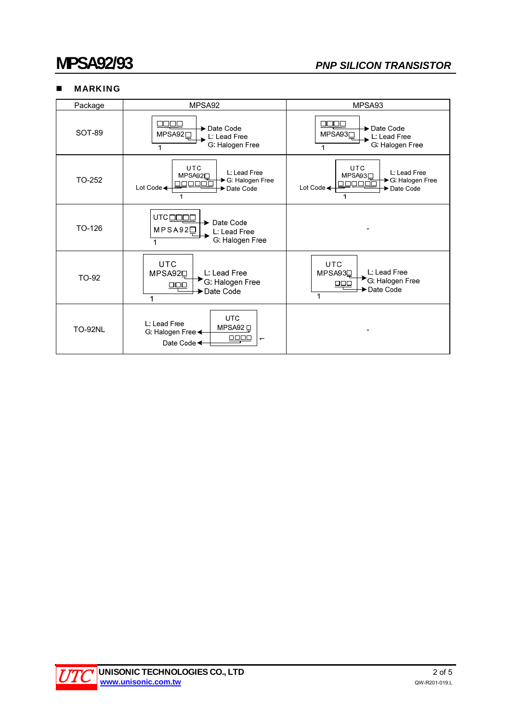### **MARKING**

| Package        | MPSA92                                                                                                           | MPSA93                                                                                            |
|----------------|------------------------------------------------------------------------------------------------------------------|---------------------------------------------------------------------------------------------------|
| SOT-89         | חרור<br>→ Date Code<br>MPSA92 <sub>□</sub><br>L: Lead Free<br>G. Halogen Free                                    | ा । ।<br>→ Date Code<br>MPSA93□<br>L: Lead Free<br>G. Halogen Free                                |
| TO-252         | <b>UTC</b><br>L: Lead Free<br>MPSA92□<br>→ G. Halogen Free<br>ונחר<br>Lot Code <<br>Date Code                    | <b>UTC</b><br>L: Lead Free<br>MPSA93□<br>→ G: Halogen Free<br>70000<br>Lot Code<br>Date Code<br>1 |
| TO-126         | UTCOOOL<br>Date Code<br>$MPSA92\square$<br>L: Lead Free<br>G. Halogen Free                                       |                                                                                                   |
| TO-92          | <b>UTC</b><br>L: Lead Free<br>MPSA92 <sub>[1]</sub><br>G: Halogen Free<br>$\Box$<br>Date Code                    | <b>UTC</b><br>L: Lead Free<br>MPSA93D<br>G. Halogen Free<br>$\Box \Box \Box$<br>Date Code<br>1    |
| <b>TO-92NL</b> | <b>UTC</b><br>L: Lead Free<br>MPSA92 口<br>G. Halogen Free $\leftarrow$<br>0000<br>$\overline{ }$<br>Date Code <← |                                                                                                   |

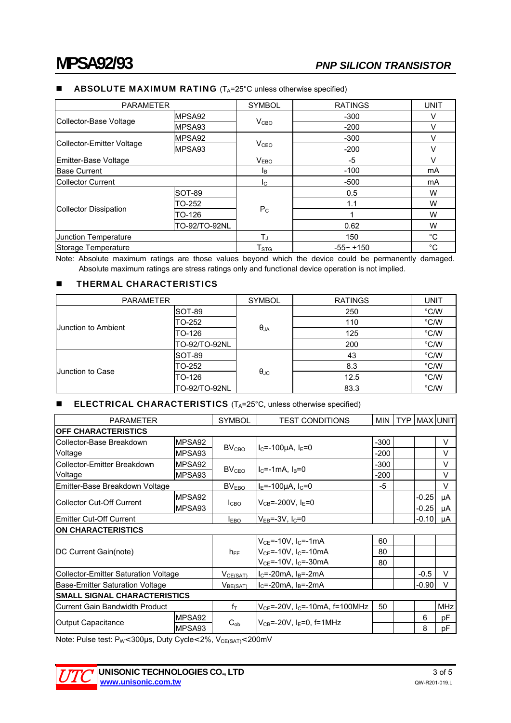#### **ABSOLUTE MAXIMUM RATING**  $(T_A=25^\circ \text{C}$  unless otherwise specified)

| <b>PARAMETER</b>          |                                  | <b>SYMBOL</b> | <b>RATINGS</b>                                                                                                                                                                                                              | <b>UNIT</b> |
|---------------------------|----------------------------------|---------------|-----------------------------------------------------------------------------------------------------------------------------------------------------------------------------------------------------------------------------|-------------|
| Collector-Base Voltage    | MPSA92                           |               | $-300$                                                                                                                                                                                                                      | v           |
|                           | MPSA93                           |               | $-200$                                                                                                                                                                                                                      | V           |
|                           | MPSA92                           |               | $-300$                                                                                                                                                                                                                      | v           |
| Collector-Emitter Voltage | MPSA93                           |               | V <sub>CBO</sub><br>V <sub>CEO</sub><br>$-200$<br>v<br>v<br>V <sub>EBO</sub><br>-5<br>$-100$<br>mA<br><b>I</b> B<br>$-500$<br>mA<br>Ic.<br>0.5<br>W<br>1.1<br>W<br>$P_{C}$<br>W<br>W<br>0.62<br>$^{\circ}C$<br>$T_J$<br>150 |             |
| Emitter-Base Voltage      |                                  |               |                                                                                                                                                                                                                             |             |
| <b>Base Current</b>       |                                  |               |                                                                                                                                                                                                                             |             |
| <b>Collector Current</b>  |                                  |               |                                                                                                                                                                                                                             |             |
| Collector Dissipation     | SOT-89                           |               |                                                                                                                                                                                                                             |             |
|                           | TO-252                           |               |                                                                                                                                                                                                                             |             |
|                           | TO-126                           |               |                                                                                                                                                                                                                             |             |
|                           | TO-92/TO-92NL                    |               |                                                                                                                                                                                                                             |             |
| Junction Temperature      |                                  |               |                                                                                                                                                                                                                             |             |
| Storage Temperature       | T <sub>STG</sub><br>$-55 - +150$ |               | °C                                                                                                                                                                                                                          |             |

Note: Absolute maximum ratings are those values beyond which the device could be permanently damaged. Absolute maximum ratings are stress ratings only and functional device operation is not implied.

#### **THERMAL CHARACTERISTICS**

| <b>PARAMETER</b>     |                                                                                       | <b>SYMBOL</b>     | <b>RATINGS</b> | UNIT                                                 |
|----------------------|---------------------------------------------------------------------------------------|-------------------|----------------|------------------------------------------------------|
| IJunction to Ambient | SOT-89                                                                                |                   | 250            | °C/W                                                 |
|                      | TO-252                                                                                |                   | 110            | °C/W                                                 |
|                      | $\theta$ JA<br>TO-126<br>125<br>TO-92/TO-92NL<br>200<br>SOT-89<br>43<br>TO-252<br>8.3 |                   | °C/W           |                                                      |
|                      |                                                                                       |                   |                | °C/W<br>°C/W<br>°C/W<br>°C/W<br>12.5<br>°C/W<br>83.3 |
|                      |                                                                                       |                   |                |                                                      |
| Uunction to Case     |                                                                                       |                   |                |                                                      |
|                      | TO-126                                                                                | $\theta_{\rm JC}$ |                |                                                      |
|                      | TO-92/TO-92NL                                                                         |                   |                |                                                      |

#### ■ ELECTRICAL CHARACTERISTICS (T<sub>A</sub>=25°C, unless otherwise specified)

| <b>PARAMETER</b>                            |        | <b>SYMBOL</b>        | <b>TEST CONDITIONS</b>                          |        |  | MIN   TYP   MAX   UNIT |            |  |
|---------------------------------------------|--------|----------------------|-------------------------------------------------|--------|--|------------------------|------------|--|
| <b>OFF CHARACTERISTICS</b>                  |        |                      |                                                 |        |  |                        |            |  |
| Collector-Base Breakdown                    | MPSA92 |                      |                                                 |        |  |                        | V          |  |
| Voltage                                     | MPSA93 | BV <sub>CBO</sub>    | $I_C = -100 \mu A$ , $I_E = 0$                  | $-200$ |  |                        | $\vee$     |  |
| Collector-Emitter Breakdown                 | MPSA92 |                      |                                                 | $-300$ |  |                        | V          |  |
| Voltage                                     | MPSA93 | BV <sub>CEO</sub>    | $I_C = -1$ mA, $I_B = 0$                        |        |  |                        | $\vee$     |  |
| Emitter-Base Breakdown Voltage              |        | BV <sub>EBO</sub>    | $I_E$ =-100µA, $I_C$ =0                         |        |  |                        | $\vee$     |  |
| <b>Collector Cut-Off Current</b>            | MPSA92 | I <sub>CBO</sub>     | $V_{CB} = -200V, I_F = 0$                       |        |  | $-0.25$                | μA         |  |
|                                             | MPSA93 |                      |                                                 |        |  | $-0.25$                | μA         |  |
| <b>Emitter Cut-Off Current</b>              |        | $I_{EBO}$            | $V_{FB}$ =-3V, I $_{C}$ =0                      |        |  | $-0.10$                | μA         |  |
| <b>ON CHARACTERISTICS</b>                   |        |                      |                                                 |        |  |                        |            |  |
|                                             |        |                      | $V_{CE}$ =-10V, $I_C$ =-1mA                     | 60     |  |                        |            |  |
| DC Current Gain(note)                       |        | $h_{FE}$             | $V_{CE}$ =-10V, I <sub>C</sub> =-10mA           | 80     |  |                        |            |  |
|                                             |        |                      | $V_{CE}$ =-10V, I <sub>C</sub> =-30mA           | 80     |  |                        |            |  |
| <b>Collector-Emitter Saturation Voltage</b> |        | $V_{CE(SAT)}$        | $I_C$ =-20mA, $I_B$ =-2mA                       |        |  | $-0.5$                 | $\vee$     |  |
| Base-Emitter Saturation Voltage             |        | V <sub>BE(SAT)</sub> | $I_C = -20mA$ , $I_B = -2mA$                    |        |  | $-0.90$                | V          |  |
| <b>SMALL SIGNAL CHARACTERISTICS</b>         |        |                      |                                                 |        |  |                        |            |  |
| <b>Current Gain Bandwidth Product</b>       |        | $f_T$                | $V_{CE}$ =-20V, I <sub>C</sub> =-10mA, f=100MHz | 50     |  |                        | <b>MHz</b> |  |
| <b>Output Capacitance</b>                   | MPSA92 |                      |                                                 |        |  | 6                      | pF         |  |
|                                             | MPSA93 | $C_{ob}$             | $V_{CB} = -20V$ , I <sub>F</sub> =0, f=1MHz     |        |  | 8                      | рF         |  |

Note: Pulse test: P<sub>W</sub><300µs, Duty Cycle<2%, V<sub>CE(SAT)</sub><200mV

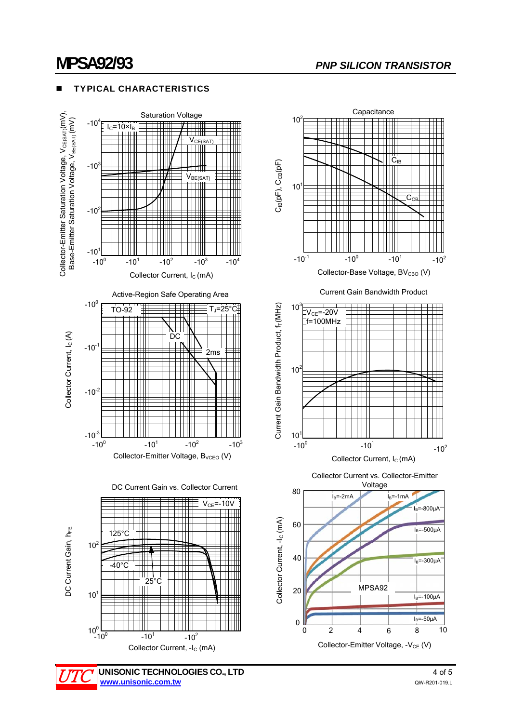## **MPSA92/93** *PNP SILICON TRANSISTOR*

#### TYPICAL CHARACTERISTICS